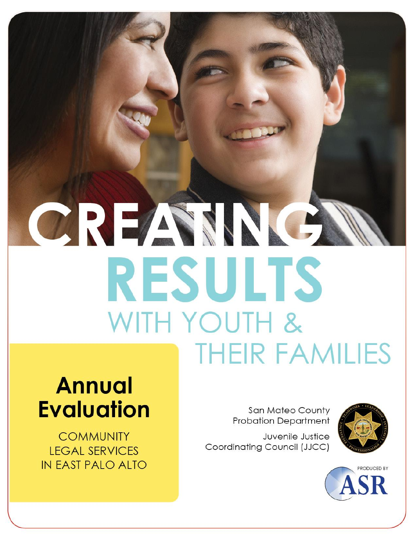# CREAMA **RESULTS** WITH YOUTH & **THEIR FAMILIES**

## **Annual Evaluation**

**COMMUNITY LEGAL SERVICES** IN FAST PALO ALTO

**San Mateo County Probation Department** 

Juvenile Justice Coordinating Council (JJCC)



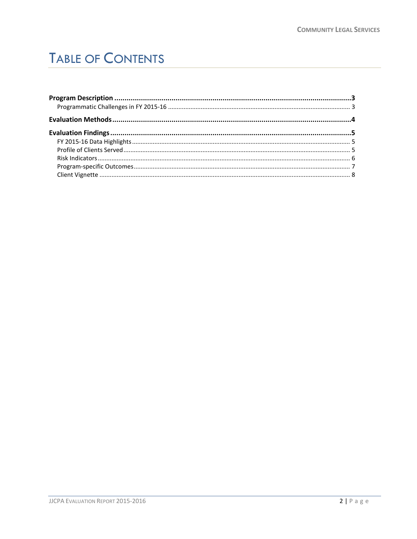## **TABLE OF CONTENTS**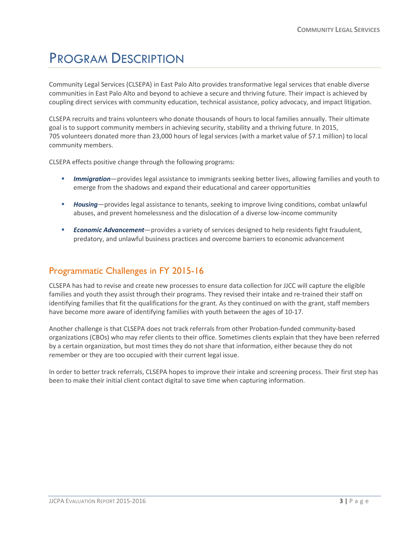## <span id="page-2-0"></span>PROGRAM DESCRIPTION

Community Legal Services (CLSEPA) in East Palo Alto provides transformative legal services that enable diverse communities in East Palo Alto and beyond to achieve a secure and thriving future. Their impact is achieved by coupling direct services with community education, technical assistance, policy advocacy, and impact litigation.

CLSEPA recruits and trains volunteers who donate thousands of hours to local families annually. Their ultimate goal is to support community members in achieving security, stability and a thriving future. In 2015, 705 volunteers donated more than 23,000 hours of legal services (with a market value of \$7.1 million) to local community members.

CLSEPA effects positive change through the following programs:

- *Immigration*—provides legal assistance to immigrants seeking better lives, allowing families and youth to emerge from the shadows and expand their educational and career opportunities
- *Housing*—provides legal assistance to tenants, seeking to improve living conditions, combat unlawful abuses, and prevent homelessness and the dislocation of a diverse low-income community
- *Economic Advancement*—provides a variety of services designed to help residents fight fraudulent, predatory, and unlawful business practices and overcome barriers to economic advancement

#### <span id="page-2-1"></span>Programmatic Challenges in FY 2015-16

CLSEPA has had to revise and create new processes to ensure data collection for JJCC will capture the eligible families and youth they assist through their programs. They revised their intake and re-trained their staff on identifying families that fit the qualifications for the grant. As they continued on with the grant, staff members have become more aware of identifying families with youth between the ages of 10-17.

Another challenge is that CLSEPA does not track referrals from other Probation-funded community-based organizations (CBOs) who may refer clients to their office. Sometimes clients explain that they have been referred by a certain organization, but most times they do not share that information, either because they do not remember or they are too occupied with their current legal issue.

In order to better track referrals, CLSEPA hopes to improve their intake and screening process. Their first step has been to make their initial client contact digital to save time when capturing information.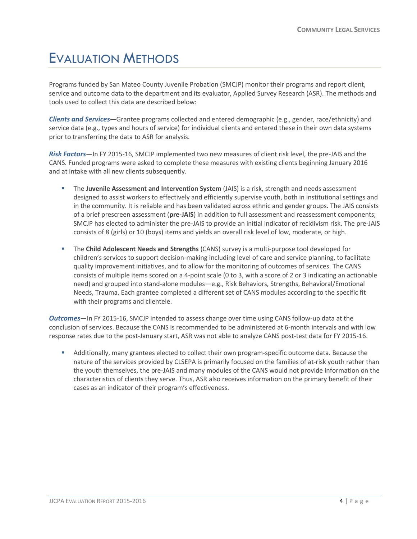### <span id="page-3-0"></span>EVALUATION METHODS

Programs funded by San Mateo County Juvenile Probation (SMCJP) monitor their programs and report client, service and outcome data to the department and its evaluator, Applied Survey Research (ASR). The methods and tools used to collect this data are described below:

*Clients and Services*—Grantee programs collected and entered demographic (e.g., gender, race/ethnicity) and service data (e.g., types and hours of service) for individual clients and entered these in their own data systems prior to transferring the data to ASR for analysis.

*Risk Factors***—**In FY 2015-16, SMCJP implemented two new measures of client risk level, the pre-JAIS and the CANS. Funded programs were asked to complete these measures with existing clients beginning January 2016 and at intake with all new clients subsequently.

- The **Juvenile Assessment and Intervention System** (JAIS) is a risk, strength and needs assessment designed to assist workers to effectively and efficiently supervise youth, both in institutional settings and in the community. It is reliable and has been validated across ethnic and gender groups. The JAIS consists of a brief prescreen assessment (**pre-JAIS**) in addition to full assessment and reassessment components; SMCJP has elected to administer the pre-JAIS to provide an initial indicator of recidivism risk. The pre-JAIS consists of 8 (girls) or 10 (boys) items and yields an overall risk level of low, moderate, or high.
- The **Child Adolescent Needs and Strengths** (CANS) survey is a multi-purpose tool developed for children's services to support decision-making including level of care and service planning, to facilitate quality improvement initiatives, and to allow for the monitoring of outcomes of services. The CANS consists of multiple items scored on a 4-point scale (0 to 3, with a score of 2 or 3 indicating an actionable need) and grouped into stand-alone modules—e.g., Risk Behaviors, Strengths, Behavioral/Emotional Needs, Trauma. Each grantee completed a different set of CANS modules according to the specific fit with their programs and clientele.

*Outcomes*—In FY 2015-16, SMCJP intended to assess change over time using CANS follow-up data at the conclusion of services. Because the CANS is recommended to be administered at 6-month intervals and with low response rates due to the post-January start, ASR was not able to analyze CANS post-test data for FY 2015-16.

 Additionally, many grantees elected to collect their own program-specific outcome data. Because the nature of the services provided by CLSEPA is primarily focused on the families of at-risk youth rather than the youth themselves, the pre-JAIS and many modules of the CANS would not provide information on the characteristics of clients they serve. Thus, ASR also receives information on the primary benefit of their cases as an indicator of their program's effectiveness.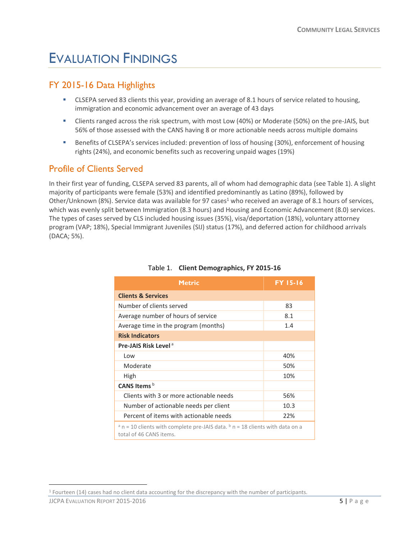## <span id="page-4-0"></span>EVALUATION FINDINGS

#### <span id="page-4-1"></span>FY 2015-16 Data Highlights

- CLSEPA served 83 clients this year, providing an average of 8.1 hours of service related to housing, immigration and economic advancement over an average of 43 days
- Clients ranged across the risk spectrum, with most Low (40%) or Moderate (50%) on the pre-JAIS, but 56% of those assessed with the CANS having 8 or more actionable needs across multiple domains
- **Benefits of CLSEPA's services included: prevention of loss of housing (30%), enforcement of housing** rights (24%), and economic benefits such as recovering unpaid wages (19%)

#### <span id="page-4-2"></span>Profile of Clients Served

In their first year of funding, CLSEPA served 83 parents, all of whom had demographic data (see Table 1). A slight majority of participants were female (53%) and identified predominantly as Latino (89%), followed by Other/Unknown (8%). Service data was available for 97 cases<sup>1</sup> who received an average of 8.1 hours of services, which was evenly split between Immigration (8.3 hours) and Housing and Economic Advancement (8.0) services. The types of cases served by CLS included housing issues (35%), visa/deportation (18%), voluntary attorney program (VAP; 18%), Special Immigrant Juveniles (SIJ) status (17%), and deferred action for childhood arrivals (DACA; 5%).

| Metric                                                                                                                     | <b>FY 15-16</b> |
|----------------------------------------------------------------------------------------------------------------------------|-----------------|
| <b>Clients &amp; Services</b>                                                                                              |                 |
| Number of clients served                                                                                                   | 83              |
| Average number of hours of service                                                                                         | 8.1             |
| Average time in the program (months)                                                                                       | 1.4             |
| <b>Risk Indicators</b>                                                                                                     |                 |
| Pre-JAIS Risk Level <sup>a</sup>                                                                                           |                 |
| Low                                                                                                                        | 40%             |
| Moderate                                                                                                                   | 50%             |
| High                                                                                                                       | 10%             |
| CANS Items <sup>b</sup>                                                                                                    |                 |
| Clients with 3 or more actionable needs                                                                                    | 56%             |
| Number of actionable needs per client                                                                                      | 10.3            |
| Percent of items with actionable needs                                                                                     | 22%             |
| $a \nvert n = 10$ clients with complete pre-JAIS data. $b \nvert n = 18$ clients with data on a<br>total of 46 CANS items. |                 |

#### Table 1. **Client Demographics, FY 2015-16**

<span id="page-4-3"></span> $\overline{a}$ 

<sup>1</sup> Fourteen (14) cases had no client data accounting for the discrepancy with the number of participants.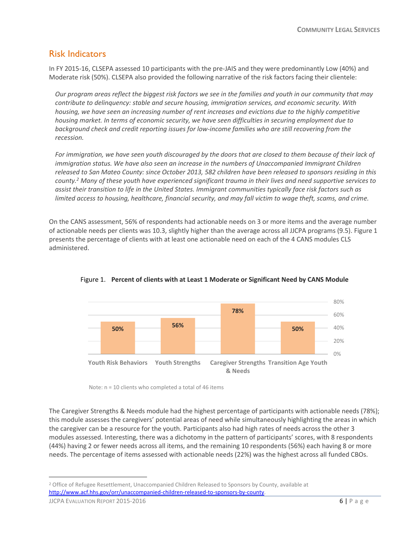#### Risk Indicators

In FY 2015-16, CLSEPA assessed 10 participants with the pre-JAIS and they were predominantly Low (40%) and Moderate risk (50%). CLSEPA also provided the following narrative of the risk factors facing their clientele:

*Our program areas reflect the biggest risk factors we see in the families and youth in our community that may contribute to delinquency: stable and secure housing, immigration services, and economic security. With housing, we have seen an increasing number of rent increases and evictions due to the highly competitive housing market. In terms of economic security, we have seen difficulties in securing employment due to background check and credit reporting issues for low-income families who are still recovering from the recession.*

*For immigration, we have seen youth discouraged by the doors that are closed to them because of their lack of immigration status. We have also seen an increase in the numbers of Unaccompanied Immigrant Children released to San Mateo County: since October 2013, 582 children have been released to sponsors residing in this county.<sup>2</sup> Many of these youth have experienced significant trauma in their lives and need supportive services to assist their transition to life in the United States. Immigrant communities typically face risk factors such as limited access to housing, healthcare, financial security, and may fall victim to wage theft, scams, and crime.*

On the CANS assessment, 56% of respondents had actionable needs on 3 or more items and the average number of actionable needs per clients was 10.3, slightly higher than the average across all JJCPA programs (9.5). Figure 1 presents the percentage of clients with at least one actionable need on each of the 4 CANS modules CLS administered.





Note: n = 10 clients who completed a total of 46 items

The Caregiver Strengths & Needs module had the highest percentage of participants with actionable needs (78%); this module assesses the caregivers' potential areas of need while simultaneously highlighting the areas in which the caregiver can be a resource for the youth. Participants also had high rates of needs across the other 3 modules assessed. Interesting, there was a dichotomy in the pattern of participants' scores, with 8 respondents (44%) having 2 or fewer needs across all items, and the remaining 10 respondents (56%) each having 8 or more needs. The percentage of items assessed with actionable needs (22%) was the highest across all funded CBOs.

 $\overline{a}$ 

<sup>&</sup>lt;sup>2</sup> Office of Refugee Resettlement, Unaccompanied Children Released to Sponsors by County, available at [http://www.acf.hhs.gov/orr/unaccompanied-children-released-to-sponsors-by-county.](http://www.acf.hhs.gov/orr/unaccompanied-children-released-to-sponsors-by-county)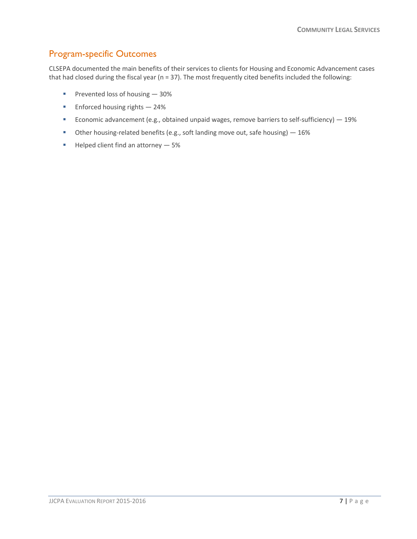#### <span id="page-6-0"></span>Program-specific Outcomes

CLSEPA documented the main benefits of their services to clients for Housing and Economic Advancement cases that had closed during the fiscal year (n = 37). The most frequently cited benefits included the following:

- Prevented loss of housing  $-30%$
- $\blacksquare$  Enforced housing rights 24%
- Economic advancement (e.g., obtained unpaid wages, remove barriers to self-sufficiency)  $-$  19%
- Other housing-related benefits (e.g., soft landing move out, safe housing)  $-16\%$
- <span id="page-6-1"></span> $\blacksquare$  Helped client find an attorney  $-5\%$